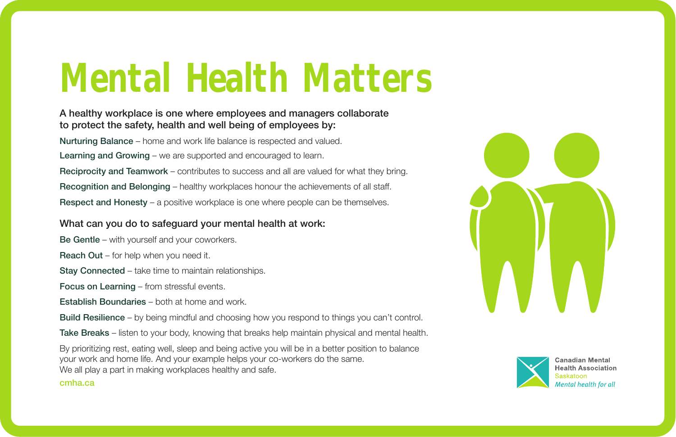# Mental Health Matters

## A healthy workplace is one where employees and managers collaborate to protect the safety, health and well being of employees by:

Nurturing Balance – home and work life balance is respected and valued.

Learning and Growing – we are supported and encouraged to learn.

Reciprocity and Teamwork – contributes to success and all are valued for what they bring. Recognition and Belonging – healthy workplaces honour the achievements of all staff. Respect and Honesty – a positive workplace is one where people can be themselves.

## What can you do to safeguard your mental health at work:

Be Gentle – with yourself and your coworkers.

Reach Out – for help when you need it.

Stay Connected – take time to maintain relationships.

Focus on Learning – from stressful events.

- Establish Boundaries both at home and work.
- Build Resilience by being mindful and choosing how you respond to things you can't control.

Take Breaks – listen to your body, knowing that breaks help maintain physical and mental health.

By prioritizing rest, eating well, sleep and being active you will be in a better position to balance your work and home life. And your example helps your co-workers do the same. We all play a part in making workplaces healthy and safe.





Canadian Mental **Health Association** Mental health for all

#### cmha.ca